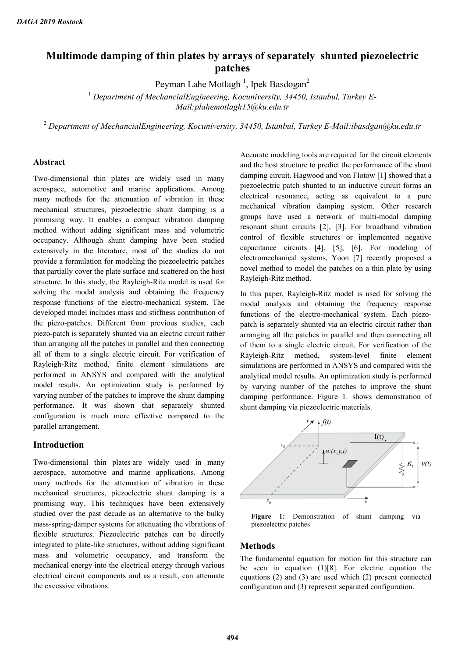# **Multimode damping of thin plates by arrays of separately shunted piezoelectric patches**

Peyman Lahe Motlagh  $^1$ , Ipek Basdogan $^2$ 

<sup>1</sup> *Department of MechancialEngineering, Kocuniversity, 34450, Istanbul, Turkey E-Mail:plahemotlagh15@ku.edu.tr*

<sup>2</sup> *Department of MechancialEngineering, Kocuniversity, 34450, Istanbul, Turkey E-Mail:ibasdgan@ku.edu.tr*

#### **Abstract**

Two-dimensional thin plates are widely used in many aerospace, automotive and marine applications. Among many methods for the attenuation of vibration in these mechanical structures, piezoelectric shunt damping is a promising way. It enables a compact vibration damping method without adding significant mass and volumetric occupancy. Although shunt damping have been studied extensively in the literature, most of the studies do not provide a formulation for modeling the piezoelectric patches that partially cover the plate surface and scattered on the host structure. In this study, the Rayleigh-Ritz model is used for solving the modal analysis and obtaining the frequency response functions of the electro-mechanical system. The developed model includes mass and stiffness contribution of the piezo-patches. Different from previous studies, each piezo-patch is separately shunted via an electric circuit rather than arranging all the patches in parallel and then connecting all of them to a single electric circuit. For verification of Rayleigh-Ritz method, finite element simulations are performed in ANSYS and compared with the analytical model results. An optimization study is performed by varying number of the patches to improve the shunt damping performance. It was shown that separately shunted configuration is much more effective compared to the parallel arrangement.

#### **Introduction**

Two-dimensional thin plates are widely used in many aerospace, automotive and marine applications. Among many methods for the attenuation of vibration in these mechanical structures, piezoelectric shunt damping is a promising way. This techniques have been extensively studied over the past decade as an alternative to the bulky mass-spring-damper systems for attenuating the vibrations of flexible structures. Piezoelectric patches can be directly integrated to plate-like structures, without adding significant mass and volumetric occupancy, and transform the mechanical energy into the electrical energy through various electrical circuit components and as a result, can attenuate the excessive vibrations.

Accurate modeling tools are required for the circuit elements and the host structure to predict the performance of the shunt damping circuit. Hagwood and von Flotow [1] showed that a piezoelectric patch shunted to an inductive circuit forms an electrical resonance, acting as equivalent to a pure mechanical vibration damping system. Other research groups have used a network of multi-modal damping resonant shunt circuits [2], [3]. For broadband vibration control of flexible structures or implemented negative capacitance circuits [4], [5], [6]. For modeling of electromechanical systems, Yoon [7] recently proposed a novel method to model the patches on a thin plate by using Rayleigh-Ritz method.

In this paper, Rayleigh-Ritz model is used for solving the modal analysis and obtaining the frequency response functions of the electro-mechanical system. Each piezopatch is separately shunted via an electric circuit rather than arranging all the patches in parallel and then connecting all of them to a single electric circuit. For verification of the Rayleigh-Ritz method, system-level finite element simulations are performed in ANSYS and compared with the analytical model results. An optimization study is performed by varying number of the patches to improve the shunt damping performance. Figure 1. shows demonstration of shunt damping via piezoelectric materials.



**Figure 1:** Demonstration of shunt damping via piezoelectric patches

## **Methods**

The fundamental equation for motion for this structure can be seen in equation (1)[8]. For electric equation the equations (2) and (3) are used which (2) present connected configuration and (3) represent separated configuration.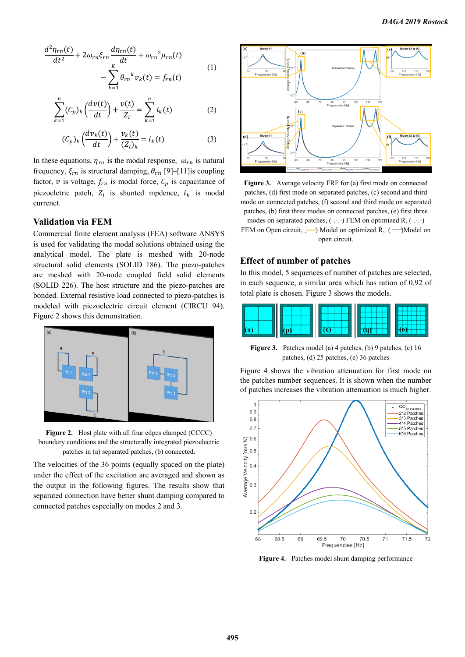$$
\frac{d^2\eta_{rn}(t)}{dt^2} + 2\omega_{rn}\xi_{rn}\frac{d\eta_{rn}(t)}{dt} + \omega_{rn}^2\mu_{rn}(t) - \sum_{r=0}^{K} \theta_{rn}^k v_k(t) = f_{rn}(t)
$$
\n(1)

 $\overline{k=1}$ 

$$
\sum_{k=1}^{n} (C_p)_k \left( \frac{dv(t)}{dt} \right) + \frac{v(t)}{Z_l} = \sum_{k=1}^{n} i_k(t) \tag{2}
$$

$$
(\mathcal{C}_p)_k \left( \frac{d v_k(t)}{dt} \right) + \frac{v_k(t)}{(\mathcal{Z}_l)_k} = i_k(t) \tag{3}
$$

In these equations,  $\eta_{rn}$  is the modal response,  $\omega_{rn}$  is natural frequency,  $\xi_{rn}$  is structural damping,  $\theta_{rn}$  [9]–[11] is coupling factor,  $v$  is voltage,  $f_{rn}$  is modal force,  $C_p$  is capacitance of piezoelctric patch,  $Z_l$  is shunted mpdence,  $i_k$  is modal currenct.

### **Validation via FEM**

Commercial finite element analysis (FEA) software ANSYS is used for validating the modal solutions obtained using the analytical model. The plate is meshed with 20-node structural solid elements (SOLID 186). The piezo-patches are meshed with 20-node coupled field solid elements (SOLID 226). The host structure and the piezo-patches are bonded. External resistive load connected to piezo-patches is modeled with piezoelectric circuit element (CIRCU 94). Figure 2 shows this demonstration.



**Figure 2.** Host plate with all four edges clamped (CCCC) boundary conditions and the structurally integrated piezoelectric patches in (a) separated patches, (b) connected.

The velocities of the 36 points (equally spaced on the plate) under the effect of the excitation are averaged and shown as the output in the following figures. The results show that separated connection have better shunt damping compared to connected patches especially on modes 2 and 3.



**Figure 3.** Average velocity FRF for (a) first mode on connected patches, (d) first mode on separated patches, (c) second and third mode on connected patches, (f) second and third mode on separated patches, (b) first three modes on connected patches, (e) first three modes on separated patches, (-.-.-) FEM on optimized R, (-.-.-) FEM on Open circuit,  $\left( \longrightarrow \right)$  Model on optimized R,  $\left( \longrightarrow \right)$ Model on open circuit.

## **Effect of number of patches**

In this model, 5 sequences of number of patches are selected, in each sequence, a similar area which has ration of 0.92 of total plate is chosen. Figure 3 shows the models.



**Figure 3.** Patches model (a) 4 patches, (b) 9 patches, (c) 16 patches, (d) 25 patches, (e) 36 patches

Figure 4 shows the vibration attenuation for first mode on the patches number sequences. It is shown when the number of patches increases the vibration attenuation is much higher.



**Figure 4.** Patches model shunt damping performance